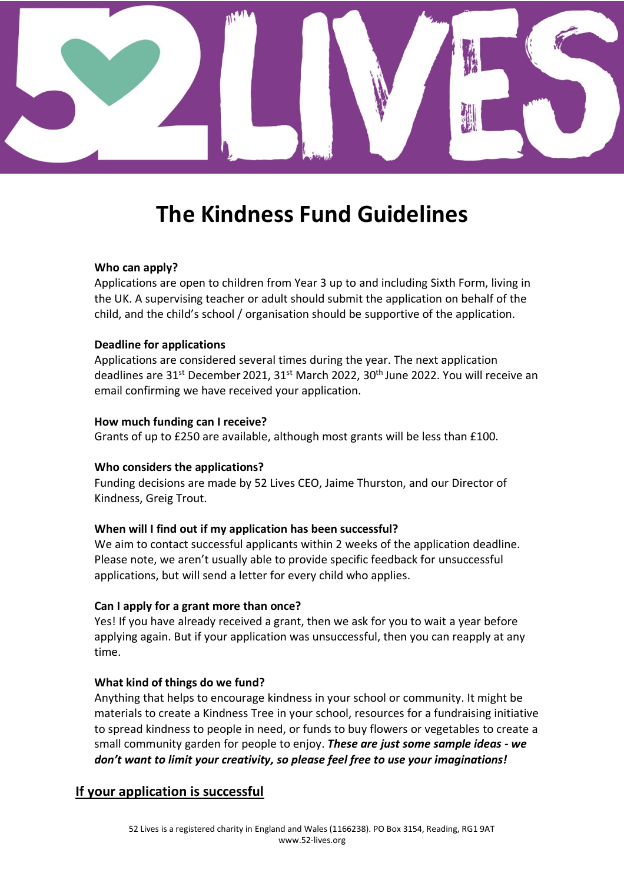

# **The Kindness Fund Guidelines**

#### **Who can apply?**

Applications are open to children from Year 3 up to and including Sixth Form, living in the UK. A supervising teacher or adult should submit the application on behalf of the child, and the child's school / organisation should be supportive of the application.

#### **Deadline for applications**

Applications are considered several times during the year. The next application deadlines are 31<sup>st</sup> December 2021, 31<sup>st</sup> March 2022, 30<sup>th</sup> June 2022. You will receive an email confirming we have received your application.

#### **How much funding can I receive?**

Grants of up to £250 are available, although most grants will be less than £100.

#### **Who considers the applications?**

Funding decisions are made by 52 Lives CEO, Jaime Thurston, and our Director of Kindness, Greig Trout.

# **When will I find out if my application has been successful?**

We aim to contact successful applicants within 2 weeks of the application deadline. Please note, we aren't usually able to provide specific feedback for unsuccessful applications, but will send a letter for every child who applies.

# **Can I apply for a grant more than once?**

Yes! If you have already received a grant, then we ask for you to wait a year before applying again. But if your application was unsuccessful, then you can reapply at any time.

# **What kind of things do we fund?**

Anything that helps to encourage kindness in your school or community. It might be materials to create a Kindness Tree in your school, resources for a fundraising initiative to spread kindness to people in need, or funds to buy flowers or vegetables to create a small community garden for people to enjoy. *These are just some sample ideas - we don't want to limit your creativity, so please feel free to use your imaginations!*

# **If your application is successful**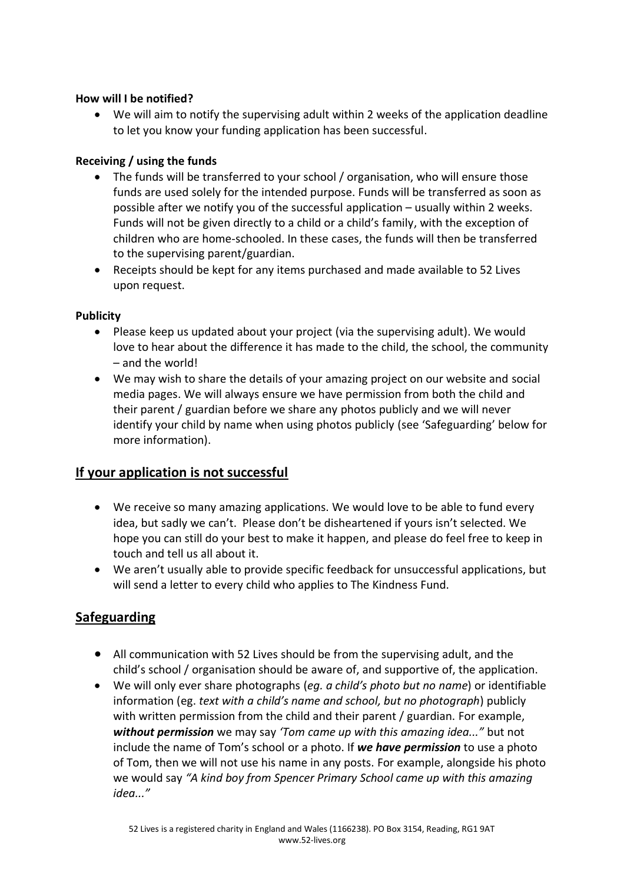# **How will I be notified?**

• We will aim to notify the supervising adult within 2 weeks of the application deadline to let you know your funding application has been successful.

# **Receiving / using the funds**

- The funds will be transferred to your school / organisation, who will ensure those funds are used solely for the intended purpose. Funds will be transferred as soon as possible after we notify you of the successful application – usually within 2 weeks. Funds will not be given directly to a child or a child's family, with the exception of children who are home-schooled. In these cases, the funds will then be transferred to the supervising parent/guardian.
- Receipts should be kept for any items purchased and made available to 52 Lives upon request.

#### **Publicity**

- Please keep us updated about your project (via the supervising adult). We would love to hear about the difference it has made to the child, the school, the community – and the world!
- We may wish to share the details of your amazing project on our website and social media pages. We will always ensure we have permission from both the child and their parent / guardian before we share any photos publicly and we will never identify your child by name when using photos publicly (see 'Safeguarding' below for more information).

# **If your application is not successful**

- We receive so many amazing applications. We would love to be able to fund every idea, but sadly we can't. Please don't be disheartened if yours isn't selected. We hope you can still do your best to make it happen, and please do feel free to keep in touch and tell us all about it.
- We aren't usually able to provide specific feedback for unsuccessful applications, but will send a letter to every child who applies to The Kindness Fund.

# **Safeguarding**

- All communication with 52 Lives should be from the supervising adult, and the child's school / organisation should be aware of, and supportive of, the application.
- We will only ever share photographs (*eg. a child's photo but no name*) or identifiable information (eg. *text with a child's name and school, but no photograph*) publicly with written permission from the child and their parent / guardian. For example, *without permission* we may say *'Tom came up with this amazing idea..."* but not include the name of Tom's school or a photo. If *we have permission* to use a photo of Tom, then we will not use his name in any posts. For example, alongside his photo we would say *"A kind boy from Spencer Primary School came up with this amazing idea..."*